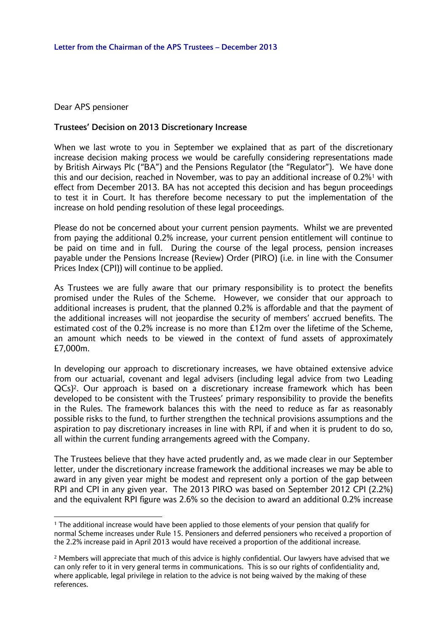Dear APS pensioner

 $\overline{a}$ 

## **Trustees' Decision on 2013 Discretionary Increase**

When we last wrote to you in September we explained that as part of the discretionary increase decision making process we would be carefully considering representations made by British Airways Plc ("BA") and the Pensions Regulator (the "Regulator"). We have done this and our decision, reached in November, was to pay an additional increase of 0.2%<sup>1</sup> with effect from December 2013. BA has not accepted this decision and has begun proceedings to test it in Court. It has therefore become necessary to put the implementation of the increase on hold pending resolution of these legal proceedings.

Please do not be concerned about your current pension payments. Whilst we are prevented from paying the additional 0.2% increase, your current pension entitlement will continue to be paid on time and in full. During the course of the legal process, pension increases payable under the Pensions Increase (Review) Order (PIRO) (i.e. in line with the Consumer Prices Index (CPI)) will continue to be applied.

As Trustees we are fully aware that our primary responsibility is to protect the benefits promised under the Rules of the Scheme. However, we consider that our approach to additional increases is prudent, that the planned 0.2% is affordable and that the payment of the additional increases will not jeopardise the security of members' accrued benefits. The estimated cost of the 0.2% increase is no more than £12m over the lifetime of the Scheme, an amount which needs to be viewed in the context of fund assets of approximately £7,000m.

In developing our approach to discretionary increases, we have obtained extensive advice from our actuarial, covenant and legal advisers (including legal advice from two Leading QCs)2. Our approach is based on a discretionary increase framework which has been developed to be consistent with the Trustees' primary responsibility to provide the benefits in the Rules. The framework balances this with the need to reduce as far as reasonably possible risks to the fund, to further strengthen the technical provisions assumptions and the aspiration to pay discretionary increases in line with RPI, if and when it is prudent to do so, all within the current funding arrangements agreed with the Company.

The Trustees believe that they have acted prudently and, as we made clear in our September letter, under the discretionary increase framework the additional increases we may be able to award in any given year might be modest and represent only a portion of the gap between RPI and CPI in any given year. The 2013 PIRO was based on September 2012 CPI (2.2%) and the equivalent RPI figure was 2.6% so the decision to award an additional 0.2% increase

<sup>1</sup> The additional increase would have been applied to those elements of your pension that qualify for normal Scheme increases under Rule 15. Pensioners and deferred pensioners who received a proportion of the 2.2% increase paid in April 2013 would have received a proportion of the additional increase.

<sup>2</sup> Members will appreciate that much of this advice is highly confidential. Our lawyers have advised that we can only refer to it in very general terms in communications. This is so our rights of confidentiality and, where applicable, legal privilege in relation to the advice is not being waived by the making of these references.